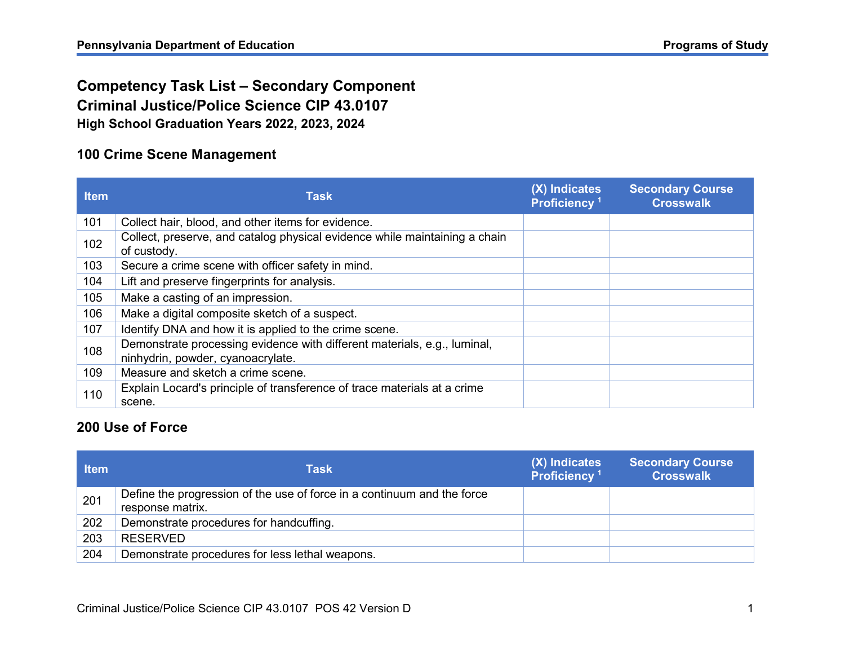## **Competency Task List – Secondary Component Criminal Justice/Police Science CIP 43.0107 High School Graduation Years 2022, 2023, 2024**

#### **100 Crime Scene Management**

| <b>Item</b> | <b>Task</b>                                                                                                   | (X) Indicates<br>Proficiency <sup>1</sup> | <b>Secondary Course</b><br><b>Crosswalk</b> |
|-------------|---------------------------------------------------------------------------------------------------------------|-------------------------------------------|---------------------------------------------|
| 101         | Collect hair, blood, and other items for evidence.                                                            |                                           |                                             |
| 102         | Collect, preserve, and catalog physical evidence while maintaining a chain<br>of custody.                     |                                           |                                             |
| 103         | Secure a crime scene with officer safety in mind.                                                             |                                           |                                             |
| 104         | Lift and preserve fingerprints for analysis.                                                                  |                                           |                                             |
| 105         | Make a casting of an impression.                                                                              |                                           |                                             |
| 106         | Make a digital composite sketch of a suspect.                                                                 |                                           |                                             |
| 107         | Identify DNA and how it is applied to the crime scene.                                                        |                                           |                                             |
| 108         | Demonstrate processing evidence with different materials, e.g., luminal,<br>ninhydrin, powder, cyanoacrylate. |                                           |                                             |
| 109         | Measure and sketch a crime scene.                                                                             |                                           |                                             |
| 110         | Explain Locard's principle of transference of trace materials at a crime<br>scene.                            |                                           |                                             |

#### **200 Use of Force**

| <b>Item</b> | <b>Task</b>                                                                                 | (X) Indicates<br>Proficiency <sup>1</sup> | <b>Secondary Course</b><br><b>Crosswalk</b> |
|-------------|---------------------------------------------------------------------------------------------|-------------------------------------------|---------------------------------------------|
| 201         | Define the progression of the use of force in a continuum and the force<br>response matrix. |                                           |                                             |
| 202         | Demonstrate procedures for handcuffing.                                                     |                                           |                                             |
| 203         | <b>RESERVED</b>                                                                             |                                           |                                             |
| 204         | Demonstrate procedures for less lethal weapons.                                             |                                           |                                             |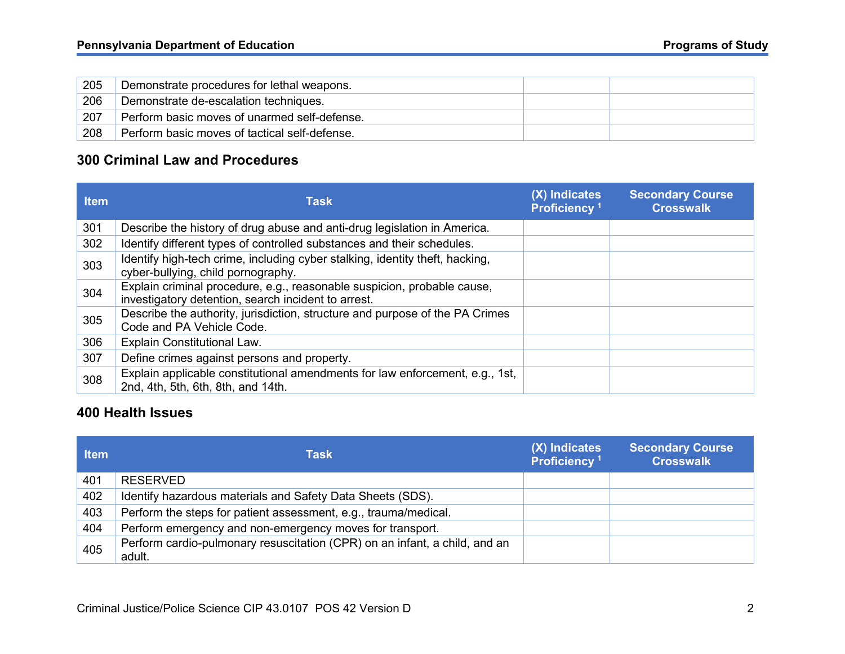| 205 | Demonstrate procedures for lethal weapons.    |  |
|-----|-----------------------------------------------|--|
| 206 | Demonstrate de-escalation techniques.         |  |
| 207 | Perform basic moves of unarmed self-defense.  |  |
| 208 | Perform basic moves of tactical self-defense. |  |

#### **300 Criminal Law and Procedures**

| <b>Item</b> | <b>Task</b>                                                                                                                    | (X) Indicates<br>Proficiency <sup>1</sup> | <b>Secondary Course</b><br><b>Crosswalk</b> |
|-------------|--------------------------------------------------------------------------------------------------------------------------------|-------------------------------------------|---------------------------------------------|
| 301         | Describe the history of drug abuse and anti-drug legislation in America.                                                       |                                           |                                             |
| 302         | Identify different types of controlled substances and their schedules.                                                         |                                           |                                             |
| 303         | Identify high-tech crime, including cyber stalking, identity theft, hacking,<br>cyber-bullying, child pornography.             |                                           |                                             |
| 304         | Explain criminal procedure, e.g., reasonable suspicion, probable cause,<br>investigatory detention, search incident to arrest. |                                           |                                             |
| 305         | Describe the authority, jurisdiction, structure and purpose of the PA Crimes<br>Code and PA Vehicle Code.                      |                                           |                                             |
| 306         | Explain Constitutional Law.                                                                                                    |                                           |                                             |
| 307         | Define crimes against persons and property.                                                                                    |                                           |                                             |
| 308         | Explain applicable constitutional amendments for law enforcement, e.g., 1st,<br>2nd, 4th, 5th, 6th, 8th, and 14th.             |                                           |                                             |

#### **400 Health Issues**

| <b>Item</b> | Task                                                                                 | (X) Indicates<br>Proficiency <sup>1</sup> | <b>Secondary Course</b><br><b>Crosswalk</b> |
|-------------|--------------------------------------------------------------------------------------|-------------------------------------------|---------------------------------------------|
| 401         | <b>RESERVED</b>                                                                      |                                           |                                             |
| 402         | Identify hazardous materials and Safety Data Sheets (SDS).                           |                                           |                                             |
| 403         | Perform the steps for patient assessment, e.g., trauma/medical.                      |                                           |                                             |
| 404         | Perform emergency and non-emergency moves for transport.                             |                                           |                                             |
| 405         | Perform cardio-pulmonary resuscitation (CPR) on an infant, a child, and an<br>adult. |                                           |                                             |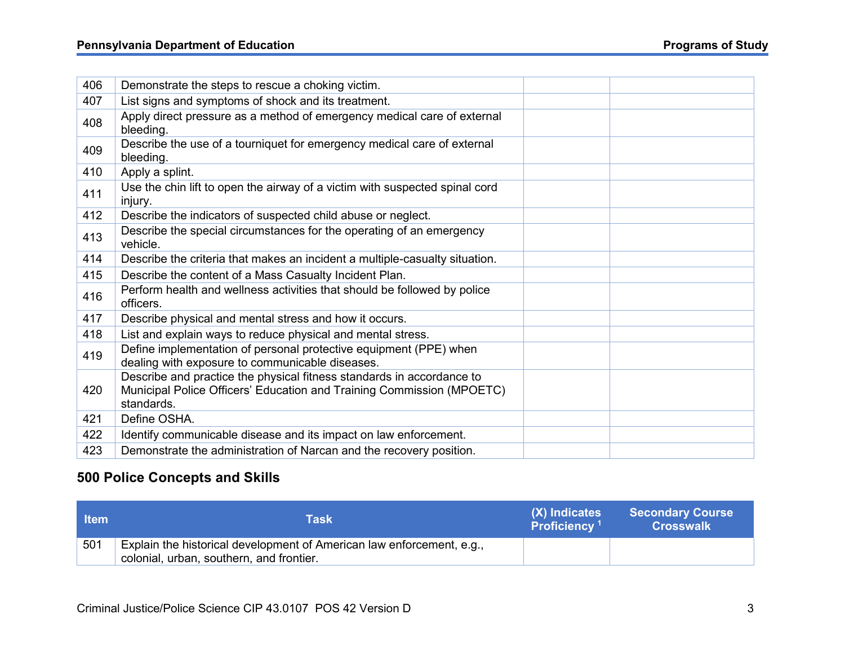# **Pennsylvania Department of Education Programs of Study**

| 406 | Demonstrate the steps to rescue a choking victim.                                                                                                            |  |  |
|-----|--------------------------------------------------------------------------------------------------------------------------------------------------------------|--|--|
| 407 | List signs and symptoms of shock and its treatment.                                                                                                          |  |  |
| 408 | Apply direct pressure as a method of emergency medical care of external<br>bleeding.                                                                         |  |  |
| 409 | Describe the use of a tourniquet for emergency medical care of external<br>bleeding.                                                                         |  |  |
| 410 | Apply a splint.                                                                                                                                              |  |  |
| 411 | Use the chin lift to open the airway of a victim with suspected spinal cord<br>injury.                                                                       |  |  |
| 412 | Describe the indicators of suspected child abuse or neglect.                                                                                                 |  |  |
| 413 | Describe the special circumstances for the operating of an emergency<br>vehicle.                                                                             |  |  |
| 414 | Describe the criteria that makes an incident a multiple-casualty situation.                                                                                  |  |  |
| 415 | Describe the content of a Mass Casualty Incident Plan.                                                                                                       |  |  |
| 416 | Perform health and wellness activities that should be followed by police<br>officers.                                                                        |  |  |
| 417 | Describe physical and mental stress and how it occurs.                                                                                                       |  |  |
| 418 | List and explain ways to reduce physical and mental stress.                                                                                                  |  |  |
| 419 | Define implementation of personal protective equipment (PPE) when<br>dealing with exposure to communicable diseases.                                         |  |  |
| 420 | Describe and practice the physical fitness standards in accordance to<br>Municipal Police Officers' Education and Training Commission (MPOETC)<br>standards. |  |  |
| 421 | Define OSHA.                                                                                                                                                 |  |  |
| 422 | Identify communicable disease and its impact on law enforcement.                                                                                             |  |  |
| 423 | Demonstrate the administration of Narcan and the recovery position.                                                                                          |  |  |

### **500 Police Concepts and Skills**

| <b>াtem</b> | Task                                                                                                              | (X) Indicates<br>Proficiency <sup>1</sup> | <b>Secondary Course</b><br><b>Crosswalk</b> |
|-------------|-------------------------------------------------------------------------------------------------------------------|-------------------------------------------|---------------------------------------------|
| 501         | Explain the historical development of American law enforcement, e.g.,<br>colonial, urban, southern, and frontier. |                                           |                                             |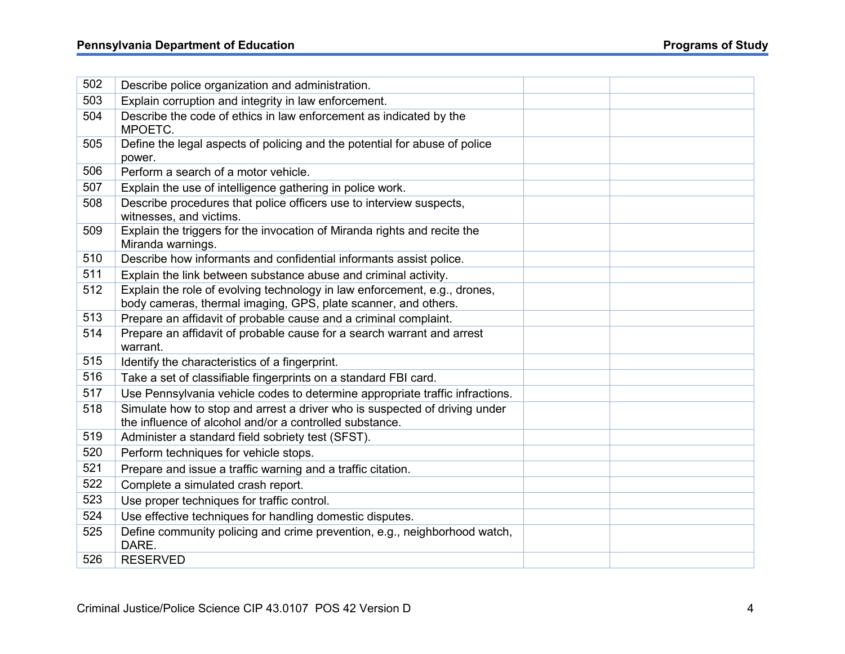### **Pennsylvania Department of Education Programs of Study**

| 502 | Describe police organization and administration.                                                                                      |  |
|-----|---------------------------------------------------------------------------------------------------------------------------------------|--|
| 503 | Explain corruption and integrity in law enforcement.                                                                                  |  |
| 504 | Describe the code of ethics in law enforcement as indicated by the                                                                    |  |
|     | MPOETC.                                                                                                                               |  |
| 505 | Define the legal aspects of policing and the potential for abuse of police                                                            |  |
|     | power.                                                                                                                                |  |
| 506 | Perform a search of a motor vehicle.                                                                                                  |  |
| 507 | Explain the use of intelligence gathering in police work.                                                                             |  |
| 508 | Describe procedures that police officers use to interview suspects,<br>witnesses, and victims.                                        |  |
| 509 | Explain the triggers for the invocation of Miranda rights and recite the<br>Miranda warnings.                                         |  |
| 510 | Describe how informants and confidential informants assist police.                                                                    |  |
| 511 | Explain the link between substance abuse and criminal activity.                                                                       |  |
| 512 | Explain the role of evolving technology in law enforcement, e.g., drones,                                                             |  |
|     | body cameras, thermal imaging, GPS, plate scanner, and others.                                                                        |  |
| 513 | Prepare an affidavit of probable cause and a criminal complaint.                                                                      |  |
| 514 | Prepare an affidavit of probable cause for a search warrant and arrest<br>warrant.                                                    |  |
| 515 | Identify the characteristics of a fingerprint.                                                                                        |  |
| 516 | Take a set of classifiable fingerprints on a standard FBI card.                                                                       |  |
| 517 | Use Pennsylvania vehicle codes to determine appropriate traffic infractions.                                                          |  |
| 518 | Simulate how to stop and arrest a driver who is suspected of driving under<br>the influence of alcohol and/or a controlled substance. |  |
| 519 | Administer a standard field sobriety test (SFST).                                                                                     |  |
| 520 | Perform techniques for vehicle stops.                                                                                                 |  |
| 521 | Prepare and issue a traffic warning and a traffic citation.                                                                           |  |
| 522 | Complete a simulated crash report.                                                                                                    |  |
| 523 | Use proper techniques for traffic control.                                                                                            |  |
| 524 | Use effective techniques for handling domestic disputes.                                                                              |  |
| 525 | Define community policing and crime prevention, e.g., neighborhood watch,                                                             |  |
|     | DARE.                                                                                                                                 |  |
| 526 | <b>RESERVED</b>                                                                                                                       |  |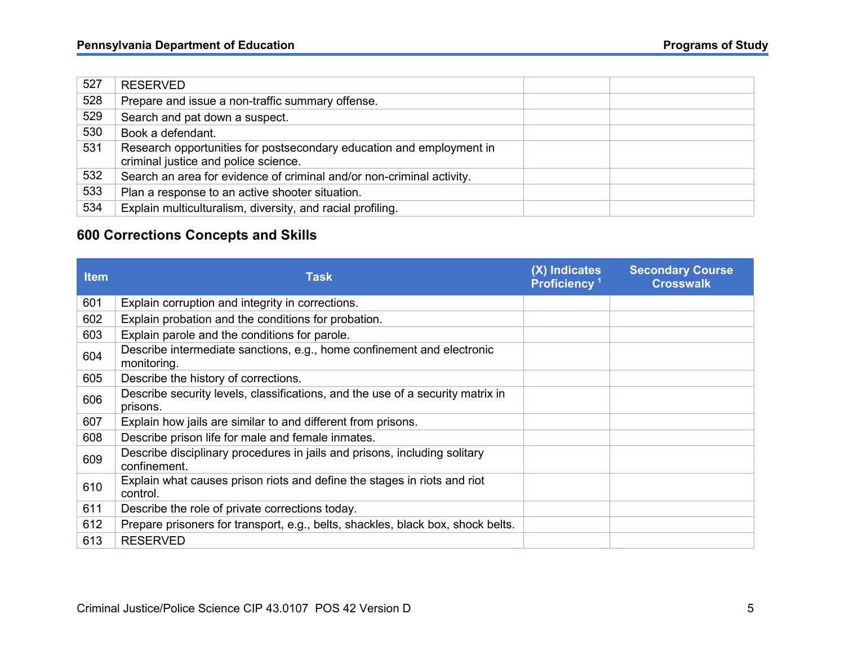| 527 | <b>RESERVED</b>                                                                                              |  |
|-----|--------------------------------------------------------------------------------------------------------------|--|
| 528 | Prepare and issue a non-traffic summary offense.                                                             |  |
| 529 | Search and pat down a suspect.                                                                               |  |
| 530 | Book a defendant.                                                                                            |  |
| 531 | Research opportunities for postsecondary education and employment in<br>criminal justice and police science. |  |
| 532 | Search an area for evidence of criminal and/or non-criminal activity.                                        |  |
| 533 | Plan a response to an active shooter situation.                                                              |  |
| 534 | Explain multiculturalism, diversity, and racial profiling.                                                   |  |

### **600 Corrections Concepts and Skills**

| <b>Item</b> | <b>Task</b>                                                                                | (X) Indicates<br>Proficiency <sup>1</sup> | <b>Secondary Course</b><br><b>Crosswalk</b> |
|-------------|--------------------------------------------------------------------------------------------|-------------------------------------------|---------------------------------------------|
| 601         | Explain corruption and integrity in corrections.                                           |                                           |                                             |
| 602         | Explain probation and the conditions for probation.                                        |                                           |                                             |
| 603         | Explain parole and the conditions for parole.                                              |                                           |                                             |
| 604         | Describe intermediate sanctions, e.g., home confinement and electronic<br>monitoring.      |                                           |                                             |
| 605         | Describe the history of corrections.                                                       |                                           |                                             |
| 606         | Describe security levels, classifications, and the use of a security matrix in<br>prisons. |                                           |                                             |
| 607         | Explain how jails are similar to and different from prisons.                               |                                           |                                             |
| 608         | Describe prison life for male and female inmates.                                          |                                           |                                             |
| 609         | Describe disciplinary procedures in jails and prisons, including solitary<br>confinement.  |                                           |                                             |
| 610         | Explain what causes prison riots and define the stages in riots and riot<br>control.       |                                           |                                             |
| 611         | Describe the role of private corrections today.                                            |                                           |                                             |
| 612         | Prepare prisoners for transport, e.g., belts, shackles, black box, shock belts.            |                                           |                                             |
| 613         | <b>RESERVED</b>                                                                            |                                           |                                             |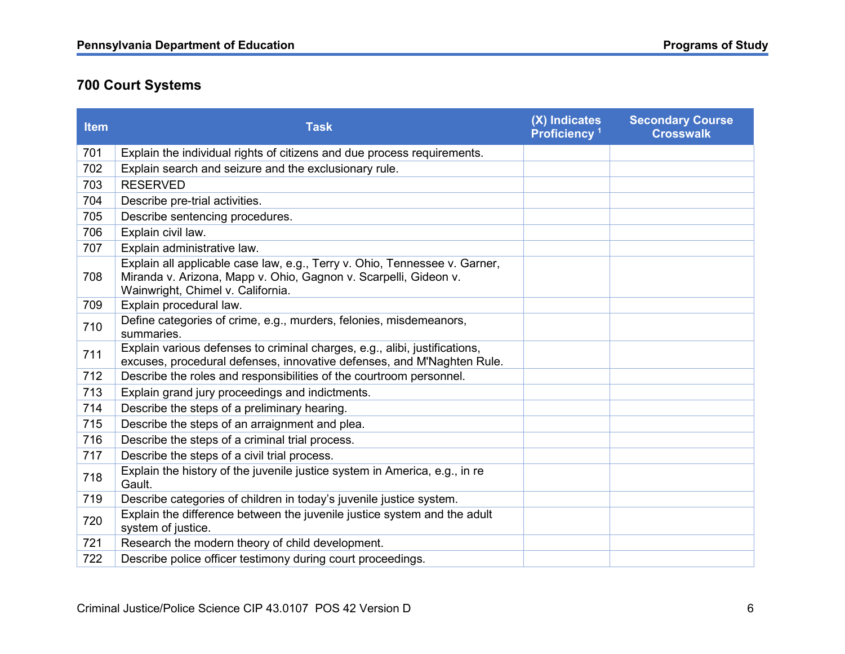# **700 Court Systems**

| <b>Item</b> | <b>Task</b>                                                                                                                                                                         | (X) Indicates<br>Proficiency <sup>1</sup> | <b>Secondary Course</b><br><b>Crosswalk</b> |
|-------------|-------------------------------------------------------------------------------------------------------------------------------------------------------------------------------------|-------------------------------------------|---------------------------------------------|
| 701         | Explain the individual rights of citizens and due process requirements.                                                                                                             |                                           |                                             |
| 702         | Explain search and seizure and the exclusionary rule.                                                                                                                               |                                           |                                             |
| 703         | <b>RESERVED</b>                                                                                                                                                                     |                                           |                                             |
| 704         | Describe pre-trial activities.                                                                                                                                                      |                                           |                                             |
| 705         | Describe sentencing procedures.                                                                                                                                                     |                                           |                                             |
| 706         | Explain civil law.                                                                                                                                                                  |                                           |                                             |
| 707         | Explain administrative law.                                                                                                                                                         |                                           |                                             |
| 708         | Explain all applicable case law, e.g., Terry v. Ohio, Tennessee v. Garner,<br>Miranda v. Arizona, Mapp v. Ohio, Gagnon v. Scarpelli, Gideon v.<br>Wainwright, Chimel v. California. |                                           |                                             |
| 709         | Explain procedural law.                                                                                                                                                             |                                           |                                             |
| 710         | Define categories of crime, e.g., murders, felonies, misdemeanors,<br>summaries.                                                                                                    |                                           |                                             |
| 711         | Explain various defenses to criminal charges, e.g., alibi, justifications,<br>excuses, procedural defenses, innovative defenses, and M'Naghten Rule.                                |                                           |                                             |
| 712         | Describe the roles and responsibilities of the courtroom personnel.                                                                                                                 |                                           |                                             |
| 713         | Explain grand jury proceedings and indictments.                                                                                                                                     |                                           |                                             |
| 714         | Describe the steps of a preliminary hearing.                                                                                                                                        |                                           |                                             |
| 715         | Describe the steps of an arraignment and plea.                                                                                                                                      |                                           |                                             |
| 716         | Describe the steps of a criminal trial process.                                                                                                                                     |                                           |                                             |
| 717         | Describe the steps of a civil trial process.                                                                                                                                        |                                           |                                             |
| 718         | Explain the history of the juvenile justice system in America, e.g., in re<br>Gault.                                                                                                |                                           |                                             |
| 719         | Describe categories of children in today's juvenile justice system.                                                                                                                 |                                           |                                             |
| 720         | Explain the difference between the juvenile justice system and the adult<br>system of justice.                                                                                      |                                           |                                             |
| 721         | Research the modern theory of child development.                                                                                                                                    |                                           |                                             |
| 722         | Describe police officer testimony during court proceedings.                                                                                                                         |                                           |                                             |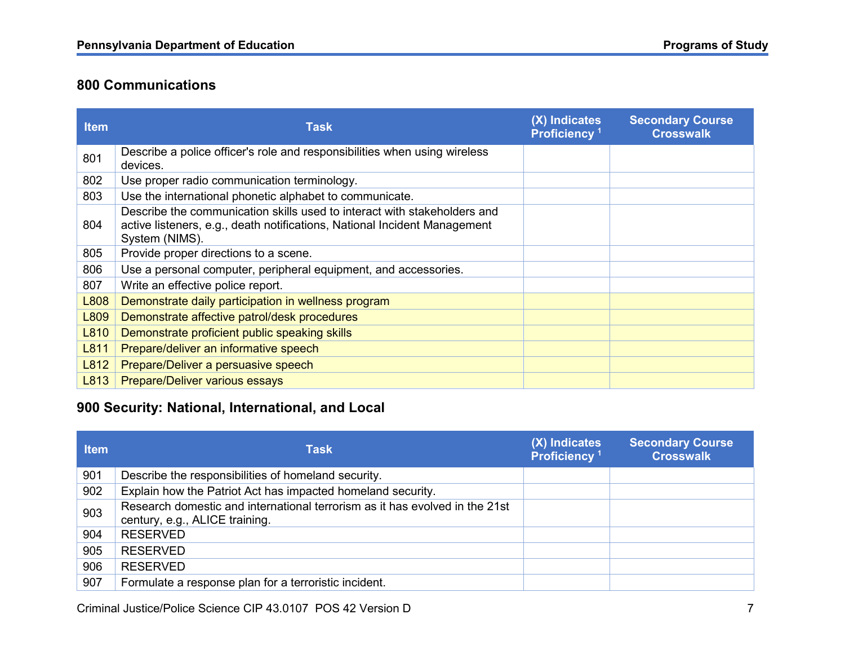### **800 Communications**

| <b>Item</b> | <b>Task</b>                                                                                                                                                             | (X) Indicates<br>Proficiency <sup>1</sup> | <b>Secondary Course</b><br><b>Crosswalk</b> |
|-------------|-------------------------------------------------------------------------------------------------------------------------------------------------------------------------|-------------------------------------------|---------------------------------------------|
| 801         | Describe a police officer's role and responsibilities when using wireless<br>devices.                                                                                   |                                           |                                             |
| 802         | Use proper radio communication terminology.                                                                                                                             |                                           |                                             |
| 803         | Use the international phonetic alphabet to communicate.                                                                                                                 |                                           |                                             |
| 804         | Describe the communication skills used to interact with stakeholders and<br>active listeners, e.g., death notifications, National Incident Management<br>System (NIMS). |                                           |                                             |
| 805         | Provide proper directions to a scene.                                                                                                                                   |                                           |                                             |
| 806         | Use a personal computer, peripheral equipment, and accessories.                                                                                                         |                                           |                                             |
| 807         | Write an effective police report.                                                                                                                                       |                                           |                                             |
| L808        | Demonstrate daily participation in wellness program                                                                                                                     |                                           |                                             |
| L809        | Demonstrate affective patrol/desk procedures                                                                                                                            |                                           |                                             |
| L810        | Demonstrate proficient public speaking skills                                                                                                                           |                                           |                                             |
| L811        | Prepare/deliver an informative speech                                                                                                                                   |                                           |                                             |
| L812        | Prepare/Deliver a persuasive speech                                                                                                                                     |                                           |                                             |
| L813        | <b>Prepare/Deliver various essays</b>                                                                                                                                   |                                           |                                             |

### **900 Security: National, International, and Local**

| <b>Item</b> | <b>Task</b>                                                                                                   | (X) Indicates<br>Proficiency <sup>1</sup> | <b>Secondary Course</b><br><b>Crosswalk</b> |
|-------------|---------------------------------------------------------------------------------------------------------------|-------------------------------------------|---------------------------------------------|
| 901         | Describe the responsibilities of homeland security.                                                           |                                           |                                             |
| 902         | Explain how the Patriot Act has impacted homeland security.                                                   |                                           |                                             |
| 903         | Research domestic and international terrorism as it has evolved in the 21st<br>century, e.g., ALICE training. |                                           |                                             |
| 904         | <b>RESERVED</b>                                                                                               |                                           |                                             |
| 905         | <b>RESERVED</b>                                                                                               |                                           |                                             |
| 906         | <b>RESERVED</b>                                                                                               |                                           |                                             |
| 907         | Formulate a response plan for a terroristic incident.                                                         |                                           |                                             |